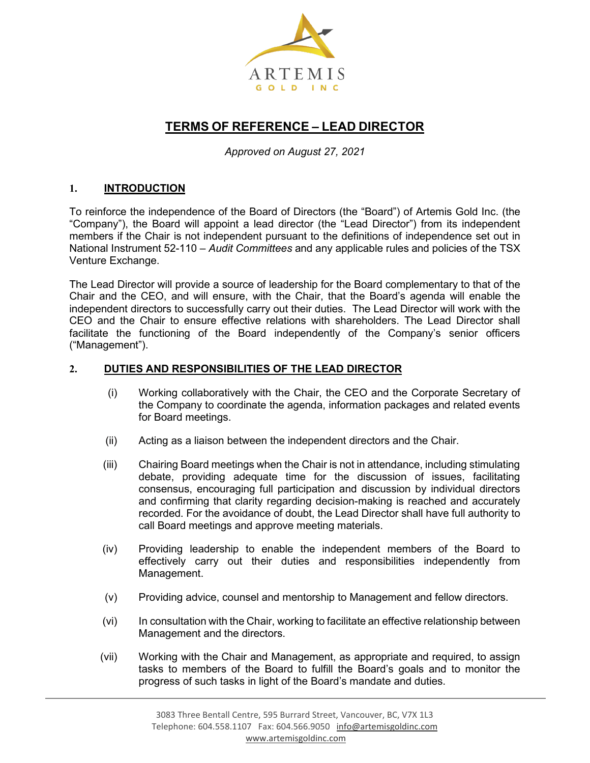

## **TERMS OF REFERENCE – LEAD DIRECTOR**

*Approved on August 27, 2021*

## **1. INTRODUCTION**

To reinforce the independence of the Board of Directors (the "Board") of Artemis Gold Inc. (the "Company"), the Board will appoint a lead director (the "Lead Director") from its independent members if the Chair is not independent pursuant to the definitions of independence set out in National Instrument 52-110 – *Audit Committees* and any applicable rules and policies of the TSX Venture Exchange.

The Lead Director will provide a source of leadership for the Board complementary to that of the Chair and the CEO, and will ensure, with the Chair, that the Board's agenda will enable the independent directors to successfully carry out their duties. The Lead Director will work with the CEO and the Chair to ensure effective relations with shareholders. The Lead Director shall facilitate the functioning of the Board independently of the Company's senior officers ("Management").

## **2. DUTIES AND RESPONSIBILITIES OF THE LEAD DIRECTOR**

- (i) Working collaboratively with the Chair, the CEO and the Corporate Secretary of the Company to coordinate the agenda, information packages and related events for Board meetings.
- (ii) Acting as a liaison between the independent directors and the Chair.
- (iii) Chairing Board meetings when the Chair is not in attendance, including stimulating debate, providing adequate time for the discussion of issues, facilitating consensus, encouraging full participation and discussion by individual directors and confirming that clarity regarding decision-making is reached and accurately recorded. For the avoidance of doubt, the Lead Director shall have full authority to call Board meetings and approve meeting materials.
- (iv) Providing leadership to enable the independent members of the Board to effectively carry out their duties and responsibilities independently from Management.
- (v) Providing advice, counsel and mentorship to Management and fellow directors.
- (vi) In consultation with the Chair, working to facilitate an effective relationship between Management and the directors.
- (vii) Working with the Chair and Management, as appropriate and required, to assign tasks to members of the Board to fulfill the Board's goals and to monitor the progress of such tasks in light of the Board's mandate and duties.